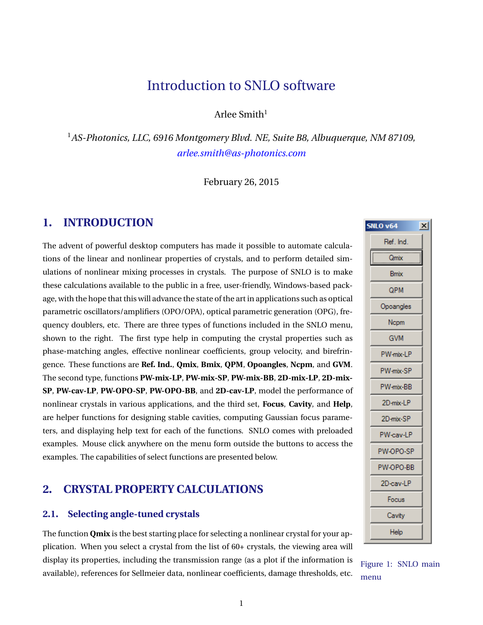# Introduction to SNLO software

Arlee Smith $1$ 

<sup>1</sup>*AS-Photonics, LLC, 6916 Montgomery Blvd. NE, Suite B8, Albuquerque, NM 87109, [arlee.smith@as-photonics.com](mailto:arlee.smith@as-photonics.com)*

February 26, 2015

# **1. INTRODUCTION**

The advent of powerful desktop computers has made it possible to automate calculations of the linear and nonlinear properties of crystals, and to perform detailed simulations of nonlinear mixing processes in crystals. The purpose of SNLO is to make these calculations available to the public in a free, user-friendly, Windows-based package, with the hope that this will advance the state of the art in applications such as optical parametric oscillators/amplifiers (OPO/OPA), optical parametric generation (OPG), frequency doublers, etc. There are three types of functions included in the SNLO menu, shown to the right. The first type help in computing the crystal properties such as phase-matching angles, effective nonlinear coefficients, group velocity, and birefringence. These functions are **Ref. Ind.**, **Qmix**, **Bmix**, **QPM**, **Opoangles**, **Ncpm**, and **GVM**. The second type, functions **PW-mix-LP**, **PW-mix-SP**, **PW-mix-BB**, **2D-mix-LP**, **2D-mix-SP**, **PW-cav-LP**, **PW-OPO-SP**, **PW-OPO-BB**, and **2D-cav-LP**, model the performance of nonlinear crystals in various applications, and the third set, **Focus**, **Cavity**, and **Help**, are helper functions for designing stable cavities, computing Gaussian focus parameters, and displaying help text for each of the functions. SNLO comes with preloaded examples. Mouse click anywhere on the menu form outside the buttons to access the examples. The capabilities of select functions are presented below.

# **2. CRYSTAL PROPERTY CALCULATIONS**

#### **2.1. Selecting angle-tuned crystals**

The function **Qmix** is the best starting place for selecting a nonlinear crystal for your application. When you select a crystal from the list of 60+ crystals, the viewing area will display its properties, including the transmission range (as a plot if the information is available), references for Sellmeier data, nonlinear coefficients, damage thresholds, etc.

| <b>SNLO v64</b> | $\mathsf{x}$ |
|-----------------|--------------|
| Ref. Ind.       |              |
| <br>Qmix        |              |
| <b>Bmix</b>     |              |
| QPM             |              |
| Opoangles       |              |
| Ncpm            |              |
| GVM             |              |
| PW-mix-LP       |              |
| PW-mix-SP       |              |
| PW-mix-BB       |              |
| 2D-mix-LP       |              |
| 2D-mix-SP       |              |
| PW-cav-LP       |              |
| PW-OPO-SP       |              |
| PW-OPO-BB       |              |
| 2D-cav-LP       |              |
| Focus           |              |
| Cavity          |              |
| Help            |              |

Figure 1: SNLO main menu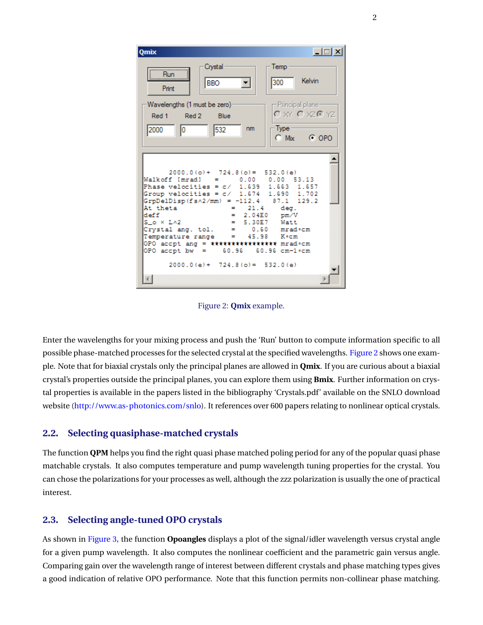<span id="page-1-0"></span>

Figure 2: **Qmix** example.

Enter the wavelengths for your mixing process and push the 'Run' button to compute information specific to all possible phase-matched processes for the selected crystal at the specified wavelengths. [Figure 2](#page-1-0) shows one example. Note that for biaxial crystals only the principal planes are allowed in **Qmix**. If you are curious about a biaxial crystal's properties outside the principal planes, you can explore them using **Bmix**. Further information on crystal properties is available in the papers listed in the bibliography 'Crystals.pdf' available on the SNLO download website [\(http://www.as-photonics.com/snlo\)](http://www.as-photonics.com/snlo). It references over 600 papers relating to nonlinear optical crystals.

#### **2.2. Selecting quasiphase-matched crystals**

The function **QPM** helps you find the right quasi phase matched poling period for any of the popular quasi phase matchable crystals. It also computes temperature and pump wavelength tuning properties for the crystal. You can chose the polarizations for your processes as well, although the zzz polarization is usually the one of practical interest.

#### **2.3. Selecting angle-tuned OPO crystals**

As shown in [Figure 3,](#page-2-0) the function **Opoangles** displays a plot of the signal/idler wavelength versus crystal angle for a given pump wavelength. It also computes the nonlinear coefficient and the parametric gain versus angle. Comparing gain over the wavelength range of interest between different crystals and phase matching types gives a good indication of relative OPO performance. Note that this function permits non-collinear phase matching.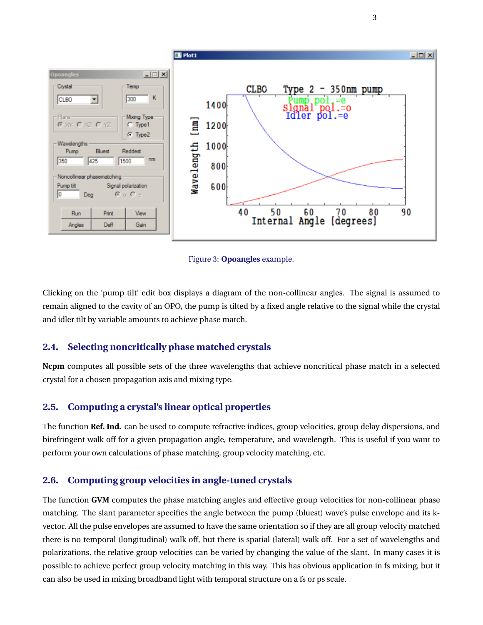<span id="page-2-0"></span>

Figure 3: **Opoangles** example.

Clicking on the 'pump tilt' edit box displays a diagram of the non-collinear angles. The signal is assumed to remain aligned to the cavity of an OPO, the pump is tilted by a fixed angle relative to the signal while the crystal and idler tilt by variable amounts to achieve phase match.

### **2.4. Selecting noncritically phase matched crystals**

**Ncpm** computes all possible sets of the three wavelengths that achieve noncritical phase match in a selected crystal for a chosen propagation axis and mixing type.

### **2.5. Computing a crystal's linear optical properties**

The function **Ref. Ind.** can be used to compute refractive indices, group velocities, group delay dispersions, and birefringent walk off for a given propagation angle, temperature, and wavelength. This is useful if you want to perform your own calculations of phase matching, group velocity matching, etc.

### **2.6. Computing group velocities in angle-tuned crystals**

The function **GVM** computes the phase matching angles and effective group velocities for non-collinear phase matching. The slant parameter specifies the angle between the pump (bluest) wave's pulse envelope and its kvector. All the pulse envelopes are assumed to have the same orientation so if they are all group velocity matched there is no temporal (longitudinal) walk off, but there is spatial (lateral) walk off. For a set of wavelengths and polarizations, the relative group velocities can be varied by changing the value of the slant. In many cases it is possible to achieve perfect group velocity matching in this way. This has obvious application in fs mixing, but it can also be used in mixing broadband light with temporal structure on a fs or ps scale.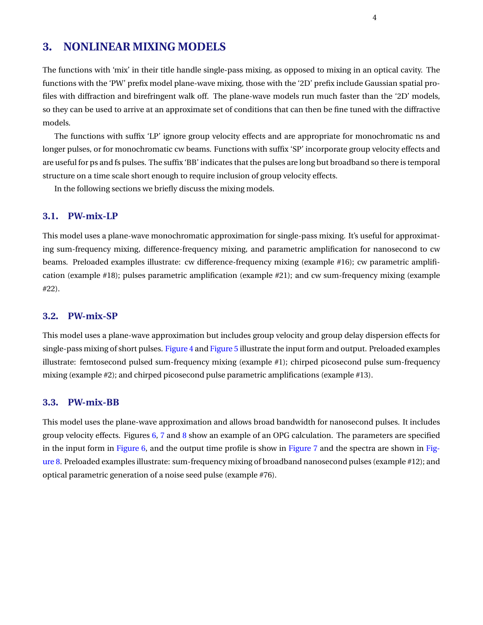# **3. NONLINEAR MIXING MODELS**

The functions with 'mix' in their title handle single-pass mixing, as opposed to mixing in an optical cavity. The functions with the 'PW' prefix model plane-wave mixing, those with the '2D' prefix include Gaussian spatial profiles with diffraction and birefringent walk off. The plane-wave models run much faster than the '2D' models, so they can be used to arrive at an approximate set of conditions that can then be fine tuned with the diffractive models.

The functions with suffix 'LP' ignore group velocity effects and are appropriate for monochromatic ns and longer pulses, or for monochromatic cw beams. Functions with suffix 'SP' incorporate group velocity effects and are useful for ps and fs pulses. The suffix 'BB' indicates that the pulses are long but broadband so there is temporal structure on a time scale short enough to require inclusion of group velocity effects.

In the following sections we briefly discuss the mixing models.

#### **3.1. PW-mix-LP**

This model uses a plane-wave monochromatic approximation for single-pass mixing. It's useful for approximating sum-frequency mixing, difference-frequency mixing, and parametric amplification for nanosecond to cw beams. Preloaded examples illustrate: cw difference-frequency mixing (example #16); cw parametric amplification (example #18); pulses parametric amplification (example #21); and cw sum-frequency mixing (example #22).

#### **3.2. PW-mix-SP**

This model uses a plane-wave approximation but includes group velocity and group delay dispersion effects for single-pass mixing of short pulses. [Figure 4](#page-4-0) and [Figure 5](#page-5-0) illustrate the input form and output. Preloaded examples illustrate: femtosecond pulsed sum-frequency mixing (example #1); chirped picosecond pulse sum-frequency mixing (example #2); and chirped picosecond pulse parametric amplifications (example #13).

#### **3.3. PW-mix-BB**

This model uses the plane-wave approximation and allows broad bandwidth for nanosecond pulses. It includes group velocity effects. Figures [6,](#page-6-0) [7](#page-6-1) and [8](#page-6-2) show an example of an OPG calculation. The parameters are specified in the input form in [Figure 6,](#page-6-0) and the output time profile is show in [Figure 7](#page-6-1) and the spectra are shown in [Fig](#page-6-2)[ure 8.](#page-6-2) Preloaded examples illustrate: sum-frequency mixing of broadband nanosecond pulses (example #12); and optical parametric generation of a noise seed pulse (example #76).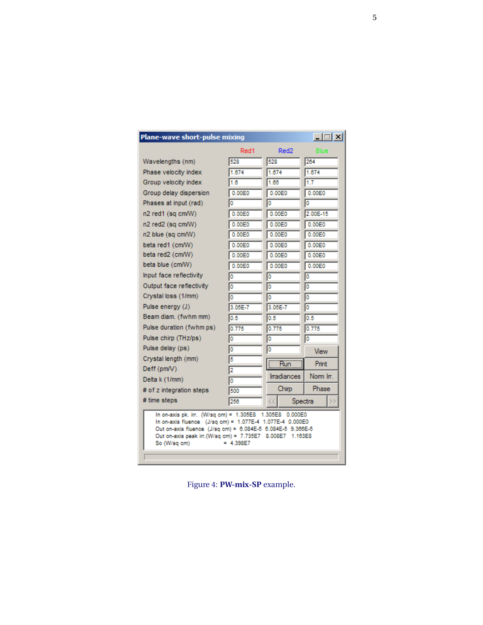<span id="page-4-0"></span>

| Plane-wave short-pulse mixing                                                                                                                                                                                                                                                    |         |        |                  | $-10x$      |        |  |
|----------------------------------------------------------------------------------------------------------------------------------------------------------------------------------------------------------------------------------------------------------------------------------|---------|--------|------------------|-------------|--------|--|
|                                                                                                                                                                                                                                                                                  | Red1    |        | Red <sub>2</sub> | <b>Blue</b> |        |  |
| Wavelengths (nm)                                                                                                                                                                                                                                                                 | 528     | 528    |                  | 264         |        |  |
| Phase velocity index                                                                                                                                                                                                                                                             | 1.674   | 1.674  |                  | 1.674       |        |  |
| Group velocity index                                                                                                                                                                                                                                                             | 1.6     | 1.65   |                  | 1.7         |        |  |
| Group delay dispersion                                                                                                                                                                                                                                                           | 0.00E0  | 0.00E0 |                  | 0.00E0      |        |  |
| Phases at input (rad)                                                                                                                                                                                                                                                            |         | I٥     |                  | I٥          |        |  |
| n2 red1 (sq cm/W)                                                                                                                                                                                                                                                                | 0.00E0  | 0.00E0 |                  | 2.00E-15    |        |  |
| n2 red2 (sq cm/W)                                                                                                                                                                                                                                                                | 0.00E0  | 0.00E0 |                  | 0.00E0      |        |  |
| n2 blue (sq cm/W)                                                                                                                                                                                                                                                                | 0.00E0  | 0.00E0 |                  | 0.00E0      |        |  |
| beta red1 (cm/W)                                                                                                                                                                                                                                                                 | 0.00E0  | 0.00E0 |                  | 0.00E0      |        |  |
| beta red2 (cm/W)                                                                                                                                                                                                                                                                 | 0.00E0  | 0.00E0 |                  |             | 0.00E0 |  |
| beta blue (cm/W)                                                                                                                                                                                                                                                                 | 0.00E0  |        | 0.00E0           |             | 0.00E0 |  |
| Input face reflectivity                                                                                                                                                                                                                                                          | Ю       | 10     |                  | 10          |        |  |
| Output face reflectivity                                                                                                                                                                                                                                                         | I٥      | I٥     |                  | I٥          |        |  |
| Crystal loss (1/mm)                                                                                                                                                                                                                                                              | 10      | 10     | o                |             |        |  |
| Pulse energy (J)                                                                                                                                                                                                                                                                 | 3.05E-7 |        | 3.05E-7<br>10    |             |        |  |
| Beam diam. (fwhm mm)                                                                                                                                                                                                                                                             | 0.5     | 0.5    |                  | 0.5         |        |  |
| Pulse duration (fwhm ps)                                                                                                                                                                                                                                                         | 0.775   | 0.775  |                  | 0.775       |        |  |
| Pulse chirp (THz/ps)                                                                                                                                                                                                                                                             | I٥      | 10     | I٥               |             |        |  |
| Pulse delay (ps)                                                                                                                                                                                                                                                                 | lo      | o      |                  | View        |        |  |
| Crystal length (mm)                                                                                                                                                                                                                                                              | 15      |        | Run              | Print.      |        |  |
| Deff (pm/V)                                                                                                                                                                                                                                                                      | 12      |        |                  |             |        |  |
| Delta k (1/mm)                                                                                                                                                                                                                                                                   | 10      |        | Irradiances      | Norm Irr.   |        |  |
| # of z integration steps                                                                                                                                                                                                                                                         | 500     | Chirp  |                  | Phase       |        |  |
| # time steps                                                                                                                                                                                                                                                                     | 256     |        | Spectra          |             |        |  |
| In on-axis pk. irr. (W/sq cm) = 1.305E8 1.305E8 0.000E0<br>In on-axis fluence (J/sq cm) = 1.077E-4 1.077E-4 0.000E0<br>Out on-axis fluence (J/sq cm) = 6.084E-5 6.084E-5 9.366E-5<br>Out on-axis peak irr. (W/sq cm) = 7.735E7 8.008E7<br>1.163E8<br>So (W/sq cm)<br>$= 4.398F7$ |         |        |                  |             |        |  |

Figure 4: PW-mix-SP example.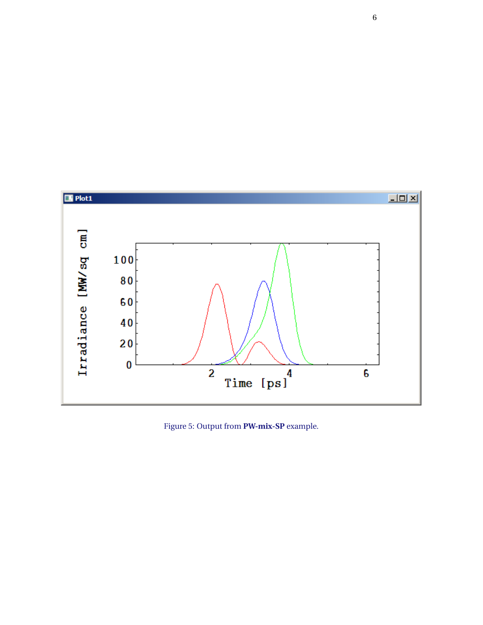<span id="page-5-0"></span>

Figure 5: Output from **PW-mix-SP** example.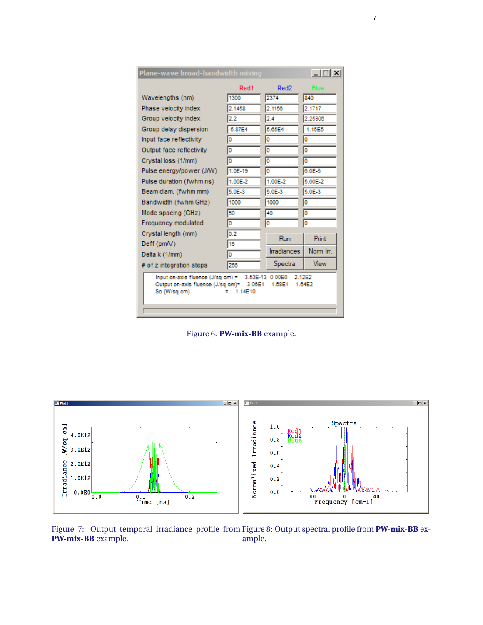<span id="page-6-0"></span>

| Plane-wave broad-bandwidth mixing                                                                                                                                              |           |                    | $\Box$      |  |
|--------------------------------------------------------------------------------------------------------------------------------------------------------------------------------|-----------|--------------------|-------------|--|
|                                                                                                                                                                                | Red1      | Red <sub>2</sub>   | Blue        |  |
| Wavelengths (nm)                                                                                                                                                               | 1300      | 2374               | 840         |  |
| Phase velocity index                                                                                                                                                           | 2.1458    | 2.1156             | 2.1717      |  |
| Group velocity index                                                                                                                                                           | 2.2       | 2.4                | 2.25306     |  |
| Group delay dispersion                                                                                                                                                         | $-5.87E4$ | 5.65E4             | $-1.15E5$   |  |
| Input face reflectivity                                                                                                                                                        | O         | o                  | o           |  |
| Output face reflectivity                                                                                                                                                       | Ō         | o                  | o           |  |
| Crystal loss (1/mm)                                                                                                                                                            |           | o                  | 10          |  |
| Pulse energy/power (J/W)                                                                                                                                                       | $1.0E-19$ | o                  | $6.0E - 5$  |  |
| Pulse duration (fwhm ns)                                                                                                                                                       | 1.00E-2   | 1.00E-2            | 5.00E-2     |  |
| Beam diam. (fwhm mm)                                                                                                                                                           | 5.0E-3    | $5.0E-3$           | 5.0E-3      |  |
| Bandwidth (fwhm GHz)                                                                                                                                                           | 1000      | 1000               | 10          |  |
| Mode spacing (GHz)                                                                                                                                                             | 50        | 40                 | o           |  |
| Frequency modulated                                                                                                                                                            | ٥         | o                  | o           |  |
| Crystal length (mm)                                                                                                                                                            | 0.2       | Run                | Print       |  |
| Deff (pm/V)                                                                                                                                                                    | 15        |                    |             |  |
| Delta k (1/mm)                                                                                                                                                                 | o         | <b>Irradiances</b> | Norm In.    |  |
| # of z integration steps                                                                                                                                                       | 256       | Spectra            | <b>View</b> |  |
| 2.12E2<br>Input on-axis fluence $(J/sq \text{ cm}) =$<br>3.53E-13<br>0.00E0<br>Output on-axis fluence (J/sq cm)=<br>1.64E2<br>3.06E1<br>1.68E1<br>1.14E10<br>So (W/sq cm)<br>Ξ |           |                    |             |  |

<span id="page-6-2"></span>Figure 6: **PW-mix-BB** example.

<span id="page-6-1"></span>

Figure 7: Output temporal irradiance profile from **PW-mix-BB** example. Figure 8: Output spectral profile from **PW-mix-BB** example.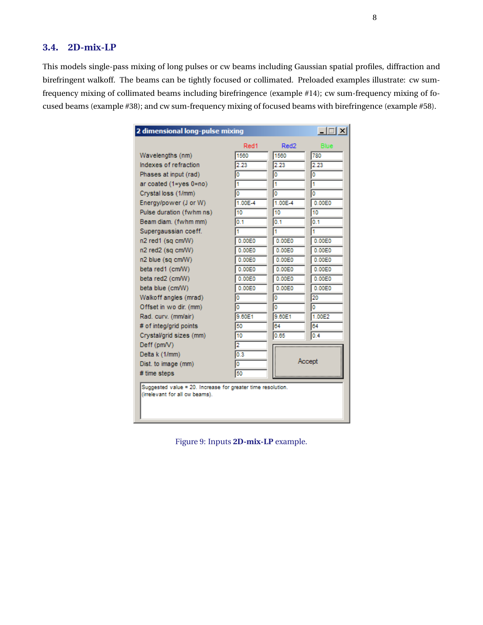### **3.4. 2D-mix-LP**

This models single-pass mixing of long pulses or cw beams including Gaussian spatial profiles, diffraction and birefringent walkoff. The beams can be tightly focused or collimated. Preloaded examples illustrate: cw sumfrequency mixing of collimated beams including birefringence (example #14); cw sum-frequency mixing of focused beams (example #38); and cw sum-frequency mixing of focused beams with birefringence (example #58).

| $-1$ $-1$ $\times$<br>2 dimensional long-pulse mixing                                         |         |         |             |  |
|-----------------------------------------------------------------------------------------------|---------|---------|-------------|--|
|                                                                                               | Red1    | Red2    | <b>Blue</b> |  |
| Wavelengths (nm)                                                                              | 1560    | 1560    | 780         |  |
| Indexes of refraction                                                                         | 2.23    | 2.23    | 2.23        |  |
| Phases at input (rad)                                                                         | 0       | I٥      | I٥          |  |
| ar coated (1=yes 0=no)                                                                        | 1       | 1       | ł1          |  |
| Crystal loss (1/mm)                                                                           | ٥       | I٥      | I٥          |  |
| Energy/power (J or W)                                                                         | 1.00E-4 | 1.00E-4 | 0.00E0      |  |
| Pulse duration (fwhm ns)                                                                      | 10      | 10      | 10          |  |
| Beam diam. (fwhm mm)                                                                          | 0.1     | 0.1     | 0.1         |  |
| Supergaussian coeff.                                                                          |         | 1       | 1           |  |
| n2 red1 (sq cm/W)                                                                             | 0.00E0  | 0.00E0  | 0.00E0      |  |
| n2 red2 (sq cm/W)                                                                             | 0.00E0  | 0.00E0  | 0.00E0      |  |
| n2 blue (sq cm/W)                                                                             | 0.00E0  | 0.00E0  | 0.00E0      |  |
| beta red1 (cm/W)                                                                              | 0.00E0  | 0.00E0  | 0.00E0      |  |
| beta red2 (cm/W)                                                                              | 0.00E0  | 0.00E0  | 0.00E0      |  |
| beta blue (cm/W)                                                                              | 0.00E0  | 0.00E0  | 0.00E0      |  |
| Walkoff angles (mrad)                                                                         | O       | I٥      | 20          |  |
| Offset in wo dir. (mm)                                                                        | ٥       | o       | Ō           |  |
| Rad. curv. (mm/air)                                                                           | 9.60E1  | 9.60E1  | 1.00E2      |  |
| # of integ/grid points                                                                        | 50      | 64      | 64          |  |
| Crystal/grid sizes (mm)                                                                       | 10      | 0.65    | 0.4         |  |
| Deff (pm/V)                                                                                   | 2       |         |             |  |
| Delta k (1/mm)                                                                                | 0.3     |         |             |  |
| Dist. to image (mm)                                                                           | 0       | Accept  |             |  |
| # time steps                                                                                  | 50      |         |             |  |
| Suggested value = 20. Increase for greater time resolution.<br>(irrelevant for all cw beams). |         |         |             |  |

Figure 9: Inputs **2D-mix-LP** example.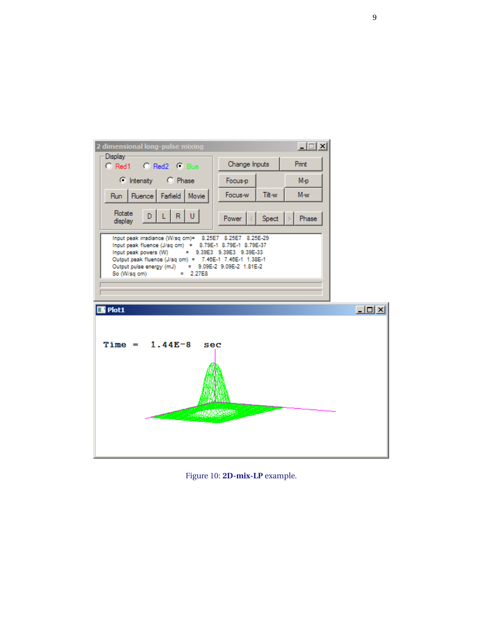

Figure 10: 2D-mix-LP example.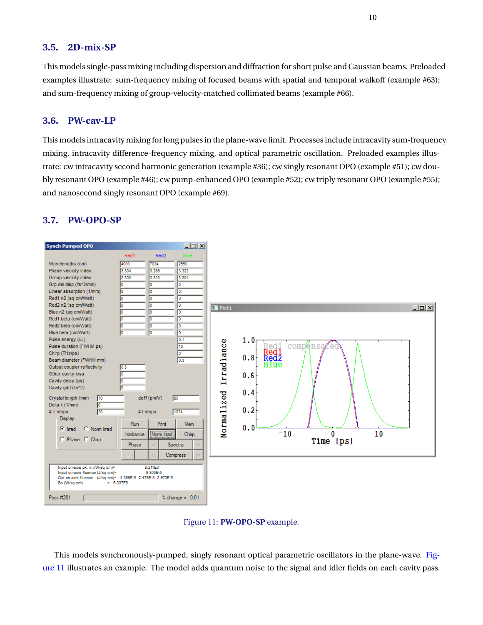#### **3.5. 2D-mix-SP**

This models single-pass mixing including dispersion and diffraction for short pulse and Gaussian beams. Preloaded examples illustrate: sum-frequency mixing of focused beams with spatial and temporal walkoff (example #63); and sum-frequency mixing of group-velocity-matched collimated beams (example #66).

#### **3.6. PW-cav-LP**

This models intracavity mixing for long pulses in the plane-wave limit. Processes include intracavity sum-frequency mixing, intracavity difference-frequency mixing, and optical parametric oscillation. Preloaded examples illustrate: cw intracavity second harmonic generation (example #36); cw singly resonant OPO (example #51); cw doubly resonant OPO (example #46); cw pump-enhanced OPO (example #52); cw triply resonant OPO (example #55); and nanosecond singly resonant OPO (example #69).

<span id="page-9-0"></span>

### **3.7. PW-OPO-SP**



This models synchronously-pumped, singly resonant optical parametric oscillators in the plane-wave. [Fig](#page-9-0)[ure 11](#page-9-0) illustrates an example. The model adds quantum noise to the signal and idler fields on each cavity pass.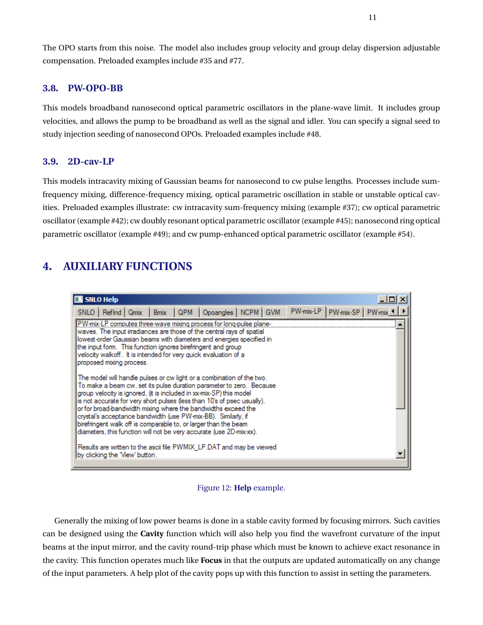The OPO starts from this noise. The model also includes group velocity and group delay dispersion adjustable compensation. Preloaded examples include #35 and #77.

### **3.8. PW-OPO-BB**

This models broadband nanosecond optical parametric oscillators in the plane-wave limit. It includes group velocities, and allows the pump to be broadband as well as the signal and idler. You can specify a signal seed to study injection seeding of nanosecond OPOs. Preloaded examples include #48.

#### **3.9. 2D-cav-LP**

This models intracavity mixing of Gaussian beams for nanosecond to cw pulse lengths. Processes include sumfrequency mixing, difference-frequency mixing, optical parametric oscillation in stable or unstable optical cavities. Preloaded examples illustrate: cw intracavity sum-frequency mixing (example #37); cw optical parametric oscillator (example #42); cw doubly resonant optical parametric oscillator (example #45); nanosecond ring optical parametric oscillator (example #49); and cw pump-enhanced optical parametric oscillator (example #54).

# <span id="page-10-0"></span>**4. AUXILIARY FUNCTIONS**

| SNLO Help                                                                                                                                                                                                                                                                                                                                                                                                                                                                                                                                                                                                                                                                                                                                                                                                                                                                                                                                                          |  |  |  |  |  |  |  |
|--------------------------------------------------------------------------------------------------------------------------------------------------------------------------------------------------------------------------------------------------------------------------------------------------------------------------------------------------------------------------------------------------------------------------------------------------------------------------------------------------------------------------------------------------------------------------------------------------------------------------------------------------------------------------------------------------------------------------------------------------------------------------------------------------------------------------------------------------------------------------------------------------------------------------------------------------------------------|--|--|--|--|--|--|--|
| PW-mix-LP   PW-mix-SP   PW-mix 4<br>SNLO   RefInd   Qmix   Bmix   QPM   Opoangles   NCPM   GVM                                                                                                                                                                                                                                                                                                                                                                                                                                                                                                                                                                                                                                                                                                                                                                                                                                                                     |  |  |  |  |  |  |  |
| [PW-mix-LP computes three-wave mixing process for long-pulse plane-<br>waves. The input irradiances are those of the central rays of spatial<br>lowest-order Gaussian beams with diameters and energies specified in<br>the input form. This function ignores birefringent and group<br>velocity walkoff. It is intended for very quick evaluation of a<br>proposed mixing process.<br>The model will handle pulses or cw light or a combination of the two.<br>To make a beam cw, set its pulse duration parameter to zero. Because<br>aroup velocity is ignored, (it is included in xx-mix-SP) this model<br>is not accurate for very short pulses (less than 10's of psec usually),<br>or for broad-bandwidth mixing where the bandwidths exceed the<br>crystal's acceptance bandwidth (use PW-mix-BB). Similarly, if<br>birefringent walk off is comparable to, or larger than the beam<br>diameters, this function will not be very accurate (use 2D-mix-xx). |  |  |  |  |  |  |  |
| Results are written to the ascii file PWMIX LP.DAT and may be viewed<br>by clicking the 'View' button.                                                                                                                                                                                                                                                                                                                                                                                                                                                                                                                                                                                                                                                                                                                                                                                                                                                             |  |  |  |  |  |  |  |
|                                                                                                                                                                                                                                                                                                                                                                                                                                                                                                                                                                                                                                                                                                                                                                                                                                                                                                                                                                    |  |  |  |  |  |  |  |

#### Figure 12: **Help** example.

Generally the mixing of low power beams is done in a stable cavity formed by focusing mirrors. Such cavities can be designed using the **Cavity** function which will also help you find the wavefront curvature of the input beams at the input mirror, and the cavity round-trip phase which must be known to achieve exact resonance in the cavity. This function operates much like **Focus** in that the outputs are updated automatically on any change of the input parameters. A help plot of the cavity pops up with this function to assist in setting the parameters.